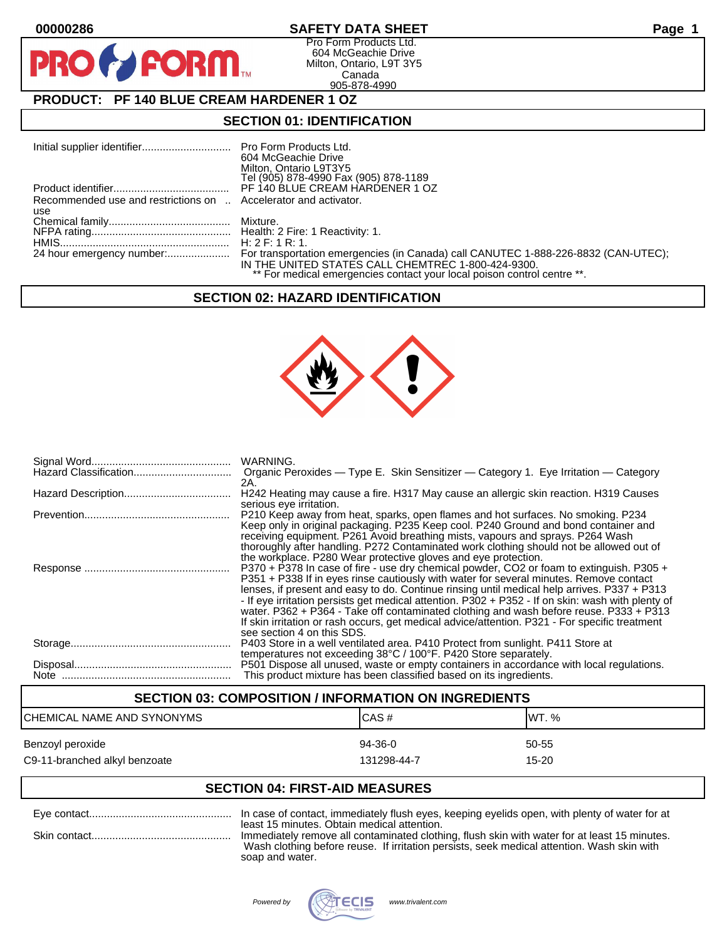**PIR** 

## **00000286 SAFETY DATA SHEET Page 1**

Pro Form Products Ltd. 604 McGeachie Drive Milton, Ontario, L9T 3Y5 Canada 905-878-4990

## **PRODUCT: PF 140 BLUE CREAM HARDENER 1 OZ**

**FORM.** 

## **SECTION 01: IDENTIFICATION**

|                                                                 | 604 McGeachie Drive                                                     |
|-----------------------------------------------------------------|-------------------------------------------------------------------------|
|                                                                 | Milton, Ontario L9T3Y5                                                  |
|                                                                 | Tel (905) 878-4990 Fax (905) 878-1189                                   |
|                                                                 | PF 140 BLUE CREAM HARDENER 1 OZ                                         |
| Recommended use and restrictions on  Accelerator and activator. |                                                                         |
| use                                                             |                                                                         |
|                                                                 |                                                                         |
|                                                                 |                                                                         |
|                                                                 |                                                                         |
|                                                                 | IN THE UNITED STATES CALL CHEMTREC 1-800-424-9300.                      |
|                                                                 | ** For medical emergencies contact your local poison control centre **. |

## **SECTION 02: HAZARD IDENTIFICATION**



| WARNING.<br>Organic Peroxides — Type E. Skin Sensitizer — Category 1. Eye Irritation — Category<br>2A.                                                                                                                                                                                                                                                                                                                                                                                                                                                                                                           |
|------------------------------------------------------------------------------------------------------------------------------------------------------------------------------------------------------------------------------------------------------------------------------------------------------------------------------------------------------------------------------------------------------------------------------------------------------------------------------------------------------------------------------------------------------------------------------------------------------------------|
| H242 Heating may cause a fire. H317 May cause an allergic skin reaction. H319 Causes                                                                                                                                                                                                                                                                                                                                                                                                                                                                                                                             |
| serious eye irritation.<br>P210 Keep away from heat, sparks, open flames and hot surfaces. No smoking. P234<br>Keep only in original packaging. P235 Keep cool. P240 Ground and bond container and<br>receiving equipment. P261 Avoid breathing mists, vapours and sprays. P264 Wash<br>thoroughly after handling. P272 Contaminated work clothing should not be allowed out of<br>the workplace. P280 Wear protective gloves and eye protection.                                                                                                                                                                |
| P370 + P378 In case of fire - use dry chemical powder, CO2 or foam to extinguish. P305 +<br>P351 + P338 If in eyes rinse cautiously with water for several minutes. Remove contact<br>lenses, if present and easy to do. Continue rinsing until medical help arrives. P337 + P313<br>- If eye irritation persists get medical attention. P302 + P352 - If on skin: wash with plenty of<br>water. P362 + P364 - Take off contaminated clothing and wash before reuse. P333 + P313<br>If skin irritation or rash occurs, get medical advice/attention. P321 - For specific treatment<br>see section 4 on this SDS. |
| P403 Store in a well ventilated area. P410 Protect from sunlight. P411 Store at<br>temperatures not exceeding 38°C / 100°F. P420 Store separately.                                                                                                                                                                                                                                                                                                                                                                                                                                                               |
| P501 Dispose all unused, waste or empty containers in accordance with local regulations.<br>This product mixture has been classified based on its ingredients.                                                                                                                                                                                                                                                                                                                                                                                                                                                   |

# **SECTION 03: COMPOSITION / INFORMATION ON INGREDIENTS** CHEMICAL NAME AND SYNONYMS CHEMICAL NAME AND SYNONYMS Benzoyl peroxide 60-55 states and the state of the 94-36-0 states of the 50-55 states of the  $\frac{94-36-0}{2}$ C9-11-branched alkyl benzoate 15-20 and the 131298-44-7 control in the 15-20

## **SECTION 04: FIRST-AID MEASURES**

| least 15 minutes. Obtain medical attention.<br>Immediately remove all contaminated clothing, flush skin with water for at least 15 minutes. |
|---------------------------------------------------------------------------------------------------------------------------------------------|
| Wash clothing before reuse. If irritation persists, seek medical attention. Wash skin with                                                  |
| soap and water.                                                                                                                             |

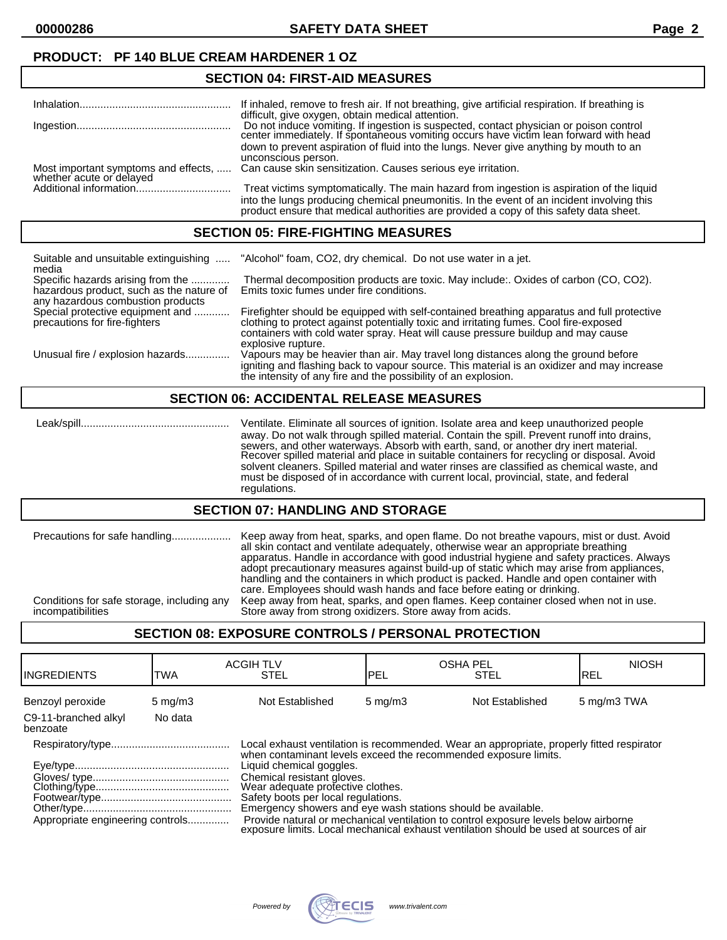**00000286 SAFETY DATA SHEET Page 2**

## **PRODUCT: PF 140 BLUE CREAM HARDENER 1 OZ**

## **SECTION 04: FIRST-AID MEASURES**

|                                      | If inhaled, remove to fresh air. If not breathing, give artificial respiration. If breathing is |
|--------------------------------------|-------------------------------------------------------------------------------------------------|
|                                      | difficult, give oxygen, obtain medical attention.                                               |
|                                      |                                                                                                 |
|                                      | Do not induce vomiting. If ingestion is suspected, contact physician or poison control          |
|                                      | center immediately. If spontaneous vomiting occurs have victim lean forward with head           |
|                                      | down to prevent aspiration of fluid into the lungs. Never give anything by mouth to an          |
|                                      | unconscious person.                                                                             |
|                                      |                                                                                                 |
| Most important symptoms and effects, | Can cause skin sensitization. Causes serious eye irritation.                                    |
| whether acute or delayed             |                                                                                                 |
|                                      | Treat victims symptomatically. The main hazard from ingestion is aspiration of the liquid       |
|                                      |                                                                                                 |
|                                      | into the lungs producing chemical pneumonitis. In the event of an incident involving this       |
|                                      | product ensure that medical authorities are provided a copy of this safety data sheet.          |
|                                      |                                                                                                 |

#### **SECTION 05: FIRE-FIGHTING MEASURES**

| Suitable and unsuitable extinguishing<br>media                                                                     | "Alcohol" foam, CO2, dry chemical. Do not use water in a jet.                                                                                                                                                                                                                                 |
|--------------------------------------------------------------------------------------------------------------------|-----------------------------------------------------------------------------------------------------------------------------------------------------------------------------------------------------------------------------------------------------------------------------------------------|
| Specific hazards arising from the<br>hazardous product, such as the nature of<br>any hazardous combustion products | Thermal decomposition products are toxic. May include:. Oxides of carbon (CO, CO2).<br>Emits toxic fumes under fire conditions.                                                                                                                                                               |
| Special protective equipment and<br>precautions for fire-fighters                                                  | Firefighter should be equipped with self-contained breathing apparatus and full protective<br>clothing to protect against potentially toxic and irritating fumes. Cool fire-exposed<br>containers with cold water spray. Heat will cause pressure buildup and may cause<br>explosive rupture. |
| Unusual fire / explosion hazards                                                                                   | Vapours may be heavier than air. May travel long distances along the ground before<br>igniting and flashing back to vapour source. This material is an oxidizer and may increase<br>the intensity of any fire and the possibility of an explosion.                                            |

#### **SECTION 06: ACCIDENTAL RELEASE MEASURES**

 Leak/spill.................................................. Ventilate. Eliminate all sources of ignition. Isolate area and keep unauthorized people away. Do not walk through spilled material. Contain the spill. Prevent runoff into drains, sewers, and other waterways. Absorb with earth, sand, or another dry inert material. Recover spilled material and place in suitable containers for recycling or disposal. Avoid solvent cleaners. Spilled material and water rinses are classified as chemical waste, and must be disposed of in accordance with current local, provincial, state, and federal regulations.

#### **SECTION 07: HANDLING AND STORAGE**

| Precautions for safe handling              | Keep away from heat, sparks, and open flame. Do not breathe vapours, mist or dust. Avoid<br>all skin contact and ventilate adequately, otherwise wear an appropriate breathing<br>apparatus. Handle in accordance with good industrial hygiene and safety practices. Always<br>adopt precautionary measures against build-up of static which may arise from appliances,<br>handling and the containers in which product is packed. Handle and open container with<br>care. Employees should wash hands and face before eating or drinking. |
|--------------------------------------------|--------------------------------------------------------------------------------------------------------------------------------------------------------------------------------------------------------------------------------------------------------------------------------------------------------------------------------------------------------------------------------------------------------------------------------------------------------------------------------------------------------------------------------------------|
| Conditions for safe storage, including any | Keep away from heat, sparks, and open flames. Keep container closed when not in use.                                                                                                                                                                                                                                                                                                                                                                                                                                                       |
| incompatibilities                          | Store away from strong oxidizers. Store away from acids.                                                                                                                                                                                                                                                                                                                                                                                                                                                                                   |

### **SECTION 08: EXPOSURE CONTROLS / PERSONAL PROTECTION**

| <b>I</b> INGREDIENTS             | TWA              | <b>ACGIH TLV</b><br><b>STEL</b>                                                                                                                                                                                                                                                                                                                                                                                                                                                                                                                     | <b>OSHA PEL</b><br>PEL | <b>STEL</b>     | <b>NIOSH</b><br>IREL |
|----------------------------------|------------------|-----------------------------------------------------------------------------------------------------------------------------------------------------------------------------------------------------------------------------------------------------------------------------------------------------------------------------------------------------------------------------------------------------------------------------------------------------------------------------------------------------------------------------------------------------|------------------------|-----------------|----------------------|
| Benzoyl peroxide                 | $5 \text{ mg/m}$ | Not Established                                                                                                                                                                                                                                                                                                                                                                                                                                                                                                                                     | $5 \text{ mg/m}$       | Not Established | 5 mg/m3 TWA          |
| C9-11-branched alkyl<br>benzoate | No data          |                                                                                                                                                                                                                                                                                                                                                                                                                                                                                                                                                     |                        |                 |                      |
| Appropriate engineering controls |                  | Local exhaust ventilation is recommended. Wear an appropriate, properly fitted respirator<br>when contaminant levels exceed the recommended exposure limits.<br>Liquid chemical goggles.<br>Chemical resistant gloves.<br>Wear adequate profective clothes.<br>Safety boots per local regulations.<br>Emergency showers and eye wash stations should be available.<br>Provide natural or mechanical ventilation to control exposure levels below airborne<br>exposure limits. Local mechanical exhaust ventilation should be used at sources of air |                        |                 |                      |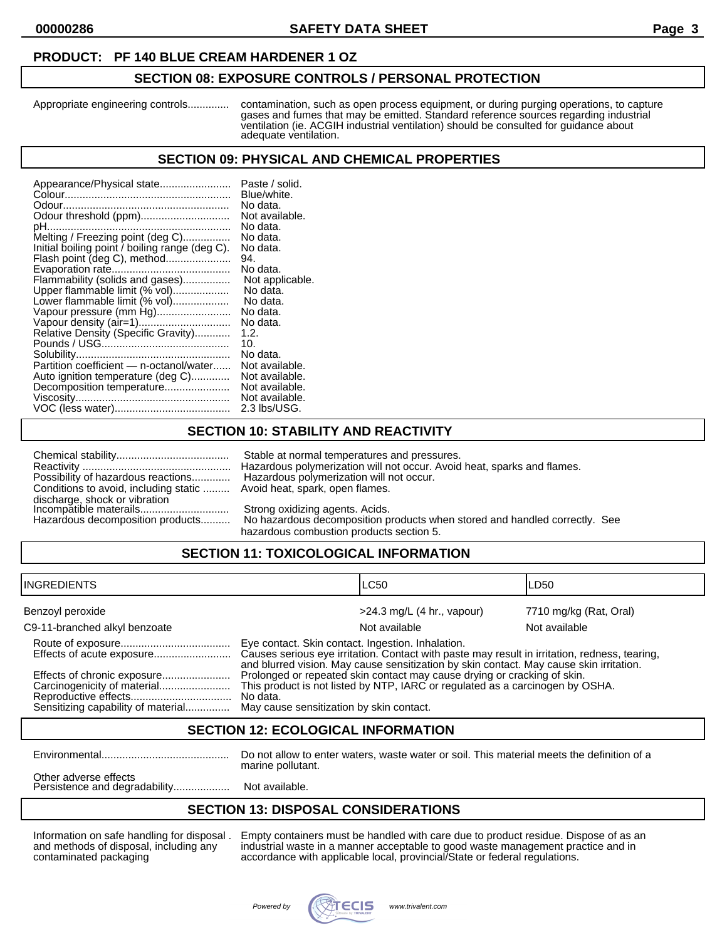#### **PRODUCT: PF 140 BLUE CREAM HARDENER 1 OZ**

#### **SECTION 08: EXPOSURE CONTROLS / PERSONAL PROTECTION**

Appropriate engineering controls.............. contamination, such as open process equipment, or during purging operations, to capture gases and fumes that may be emitted. Standard reference sources regarding industrial ventilation (ie. ACGIH industrial ventilation) should be consulted for guidance about adequate ventilation.

#### **SECTION 09: PHYSICAL AND CHEMICAL PROPERTIES**

| Appearance/Physical state                      | Paste / solid.  |
|------------------------------------------------|-----------------|
|                                                | Blue/white.     |
|                                                | No data.        |
| Odour threshold (ppm)                          | Not available.  |
|                                                | No data.        |
| Melting / Freezing point (deg C)               | No data.        |
| Initial boiling point / boiling range (deg C). | No data.        |
|                                                | 94.             |
|                                                | No data.        |
| Flammability (solids and gases)                | Not applicable. |
| Upper flammable limit (% vol)                  | No data.        |
| Lower flammable limit (% vol)                  | No data.        |
| Vapour pressure (mm Hg)                        | No data.        |
|                                                | No data.        |
| Relative Density (Specific Gravity)            | 1.2.            |
|                                                | 10.             |
|                                                | No data.        |
| Partition coefficient - n-octanol/water        | Not available.  |
| Auto ignition temperature (deg C)              | Not available.  |
| Decomposition temperature                      | Not available.  |
|                                                | Not available.  |
|                                                | 2.3 lbs/USG.    |

## **SECTION 10: STABILITY AND REACTIVITY**

| Possibility of hazardous reactions                                                                                             |  |
|--------------------------------------------------------------------------------------------------------------------------------|--|
| Conditions to avoid, including static                                                                                          |  |
| discharge, shock or vibration<br>Incompatible materails                                                                        |  |
|                                                                                                                                |  |
| $\mathbf{r}$ , and $\mathbf{r}$ , and $\mathbf{r}$ , and $\mathbf{r}$ , and $\mathbf{r}$ , and $\mathbf{r}$ , and $\mathbf{r}$ |  |

Stable at normal temperatures and pressures. Reactivity .................................................. Hazardous polymerization will not occur. Avoid heat, sparks and flames. Hazardous polymerization will not occur. Avoid heat, spark, open flames.

Strong oxidizing agents. Acids.

Hazardous decomposition products.......... No hazardous decomposition products when stored and handled correctly. See hazardous combustion products section 5.

## **SECTION 11: TOXICOLOGICAL INFORMATION**

| IINGREDIENTS                                                      |                                                                                                                                                                                                                                               | ILC50                        | LD50                   |
|-------------------------------------------------------------------|-----------------------------------------------------------------------------------------------------------------------------------------------------------------------------------------------------------------------------------------------|------------------------------|------------------------|
| Benzoyl peroxide                                                  |                                                                                                                                                                                                                                               | $>24.3$ mg/L (4 hr., vapour) | 7710 mg/kg (Rat, Oral) |
| C9-11-branched alkyl benzoate                                     |                                                                                                                                                                                                                                               | Not available                | Not available          |
| Effects of acute exposure                                         | Eye contact. Skin contact. Ingestion. Inhalation.<br>Causes serious eye irritation. Contact with paste may result in irritation, redness, tearing,<br>and blurred vision. May cause sensitization by skin contact. May cause skin irritation. |                              |                        |
| Effects of chronic exposure<br>Sensitizing capability of material | Prolonged or repeated skin contact may cause drying or cracking of skin.<br>This product is not listed by NTP, IARC or regulated as a carcinogen by OSHA.<br>No data.<br>May cause sensitization by skin contact.                             |                              |                        |

#### **SECTION 12: ECOLOGICAL INFORMATION**

Environmental........................................... Do not allow to enter waters, waste water or soil. This material meets the definition of a marine pollutant.

Other adverse effects Persistence and degradability......................... Not available.

### **SECTION 13: DISPOSAL CONSIDERATIONS**

Information on safe handling for disposal . Empty containers must be handled with care due to product residue. Dispose of as an and methods of disposal, including any industrial waste in a manner acceptable to good waste management practice and in contaminated packaging accordance with applicable local, provincial/State or federal regulations.